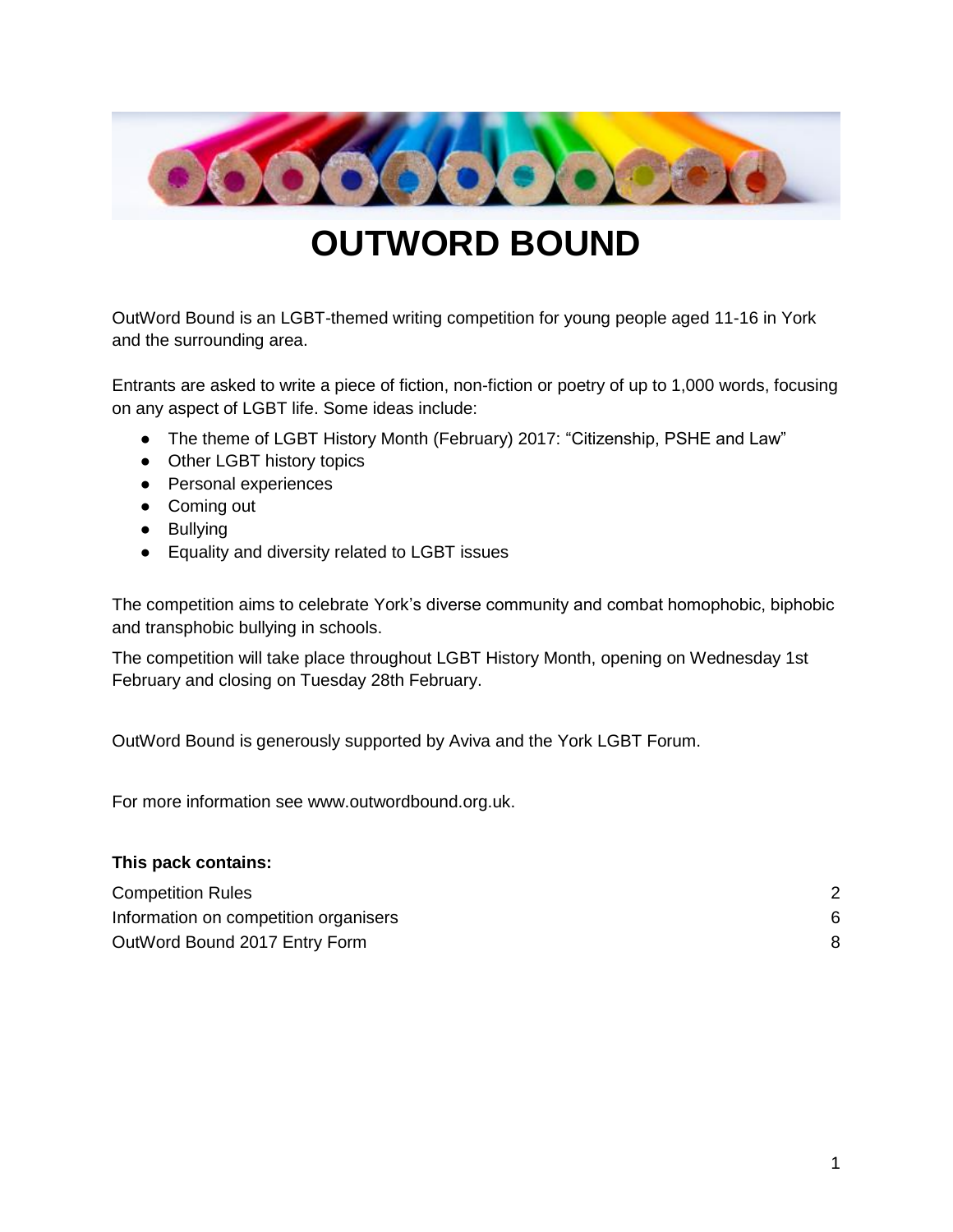

# **OUTWORD BOUND**

OutWord Bound is an LGBT-themed writing competition for young people aged 11-16 in York and the surrounding area.

Entrants are asked to write a piece of fiction, non-fiction or poetry of up to 1,000 words, focusing on any aspect of LGBT life. Some ideas include:

- The theme of LGBT History Month (February) 2017: "Citizenship, PSHE and Law"
- Other LGBT history topics
- Personal experiences
- Coming out
- Bullying
- Equality and diversity related to LGBT issues

The competition aims to celebrate York's diverse community and combat homophobic, biphobic and transphobic bullying in schools.

The competition will take place throughout LGBT History Month, opening on Wednesday 1st February and closing on Tuesday 28th February.

OutWord Bound is generously supported by Aviva and the York LGBT Forum.

For more information see www.outwordbound.org.uk.

#### **This pack contains:**

| <b>Competition Rules</b>              |  |
|---------------------------------------|--|
| Information on competition organisers |  |
| OutWord Bound 2017 Entry Form         |  |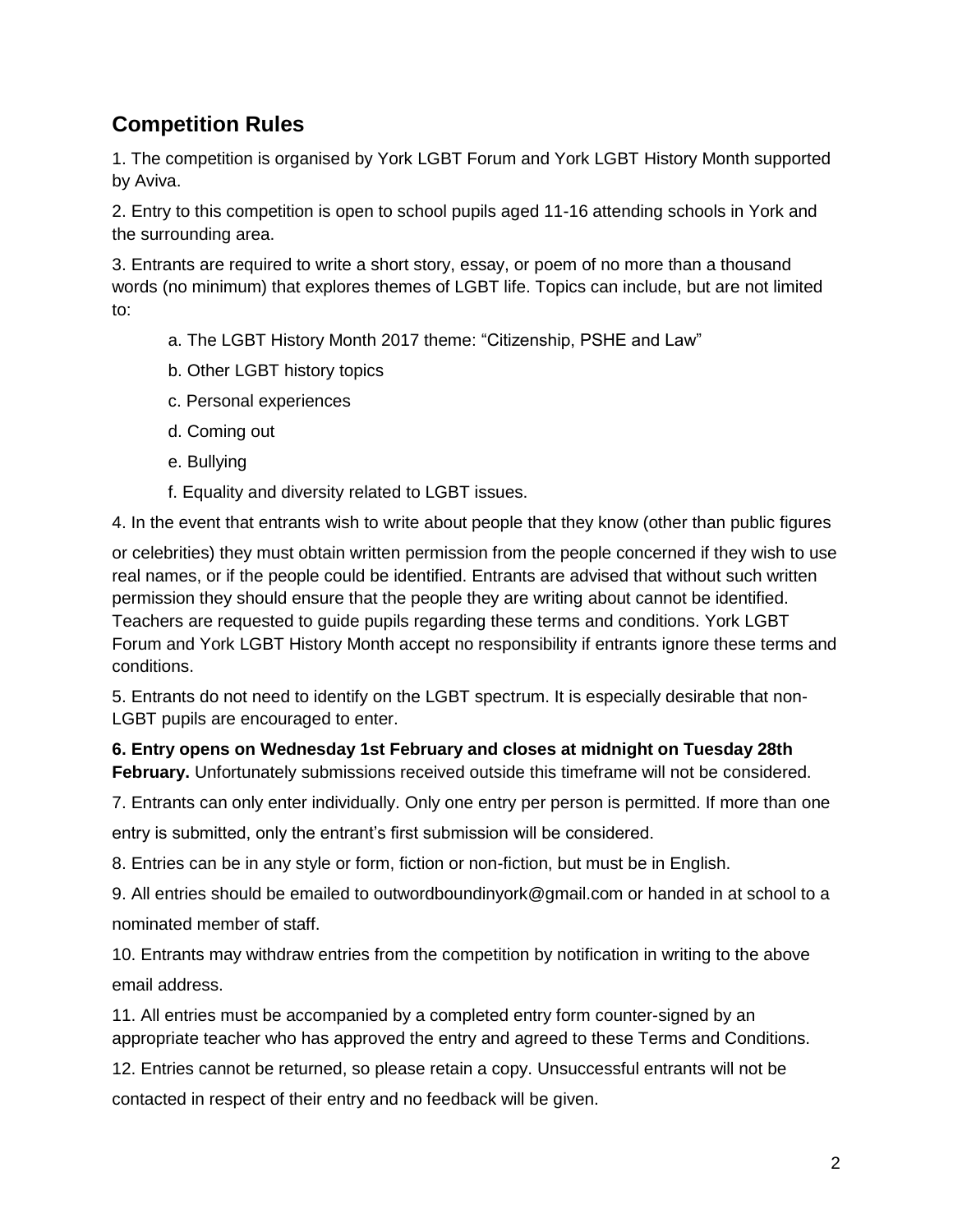## <span id="page-1-0"></span>**Competition Rules**

1. The competition is organised by York LGBT Forum and York LGBT History Month supported by Aviva.

2. Entry to this competition is open to school pupils aged 11-16 attending schools in York and the surrounding area.

3. Entrants are required to write a short story, essay, or poem of no more than a thousand words (no minimum) that explores themes of LGBT life. Topics can include, but are not limited to:

- a. The LGBT History Month 2017 theme: "Citizenship, PSHE and Law"
- b. Other LGBT history topics
- c. Personal experiences
- d. Coming out
- e. Bullying
- f. Equality and diversity related to LGBT issues.

4. In the event that entrants wish to write about people that they know (other than public figures

or celebrities) they must obtain written permission from the people concerned if they wish to use real names, or if the people could be identified. Entrants are advised that without such written permission they should ensure that the people they are writing about cannot be identified. Teachers are requested to guide pupils regarding these terms and conditions. York LGBT Forum and York LGBT History Month accept no responsibility if entrants ignore these terms and conditions.

5. Entrants do not need to identify on the LGBT spectrum. It is especially desirable that non-LGBT pupils are encouraged to enter.

**6. Entry opens on Wednesday 1st February and closes at midnight on Tuesday 28th February.** Unfortunately submissions received outside this timeframe will not be considered.

7. Entrants can only enter individually. Only one entry per person is permitted. If more than one entry is submitted, only the entrant's first submission will be considered.

8. Entries can be in any style or form, fiction or non-fiction, but must be in English.

9. All entries should be emailed to outwordboundinyork@gmail.com or handed in at school to a nominated member of staff.

10. Entrants may withdraw entries from the competition by notification in writing to the above email address.

11. All entries must be accompanied by a completed entry form counter-signed by an appropriate teacher who has approved the entry and agreed to these Terms and Conditions.

12. Entries cannot be returned, so please retain a copy. Unsuccessful entrants will not be contacted in respect of their entry and no feedback will be given.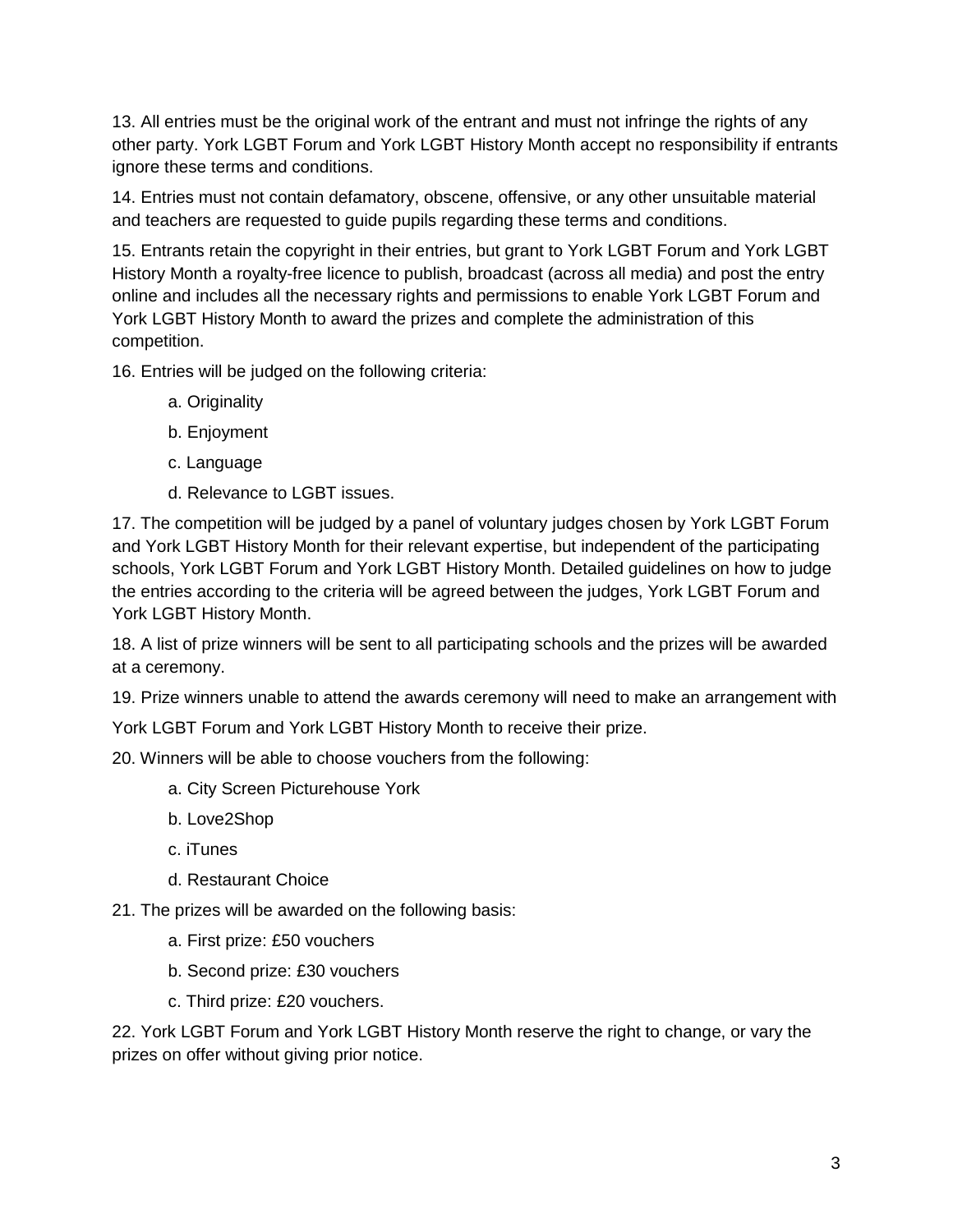13. All entries must be the original work of the entrant and must not infringe the rights of any other party. York LGBT Forum and York LGBT History Month accept no responsibility if entrants ignore these terms and conditions.

14. Entries must not contain defamatory, obscene, offensive, or any other unsuitable material and teachers are requested to guide pupils regarding these terms and conditions.

15. Entrants retain the copyright in their entries, but grant to York LGBT Forum and York LGBT History Month a royalty-free licence to publish, broadcast (across all media) and post the entry online and includes all the necessary rights and permissions to enable York LGBT Forum and York LGBT History Month to award the prizes and complete the administration of this competition.

16. Entries will be judged on the following criteria:

- a. Originality
- b. Enjoyment
- c. Language
- d. Relevance to LGBT issues.

17. The competition will be judged by a panel of voluntary judges chosen by York LGBT Forum and York LGBT History Month for their relevant expertise, but independent of the participating schools, York LGBT Forum and York LGBT History Month. Detailed guidelines on how to judge the entries according to the criteria will be agreed between the judges, York LGBT Forum and York LGBT History Month.

18. A list of prize winners will be sent to all participating schools and the prizes will be awarded at a ceremony.

19. Prize winners unable to attend the awards ceremony will need to make an arrangement with

York LGBT Forum and York LGBT History Month to receive their prize.

20. Winners will be able to choose vouchers from the following:

- a. City Screen Picturehouse York
- b. Love2Shop
- c. iTunes
- d. Restaurant Choice

21. The prizes will be awarded on the following basis:

- a. First prize: £50 vouchers
- b. Second prize: £30 vouchers
- c. Third prize: £20 vouchers.

22. York LGBT Forum and York LGBT History Month reserve the right to change, or vary the prizes on offer without giving prior notice.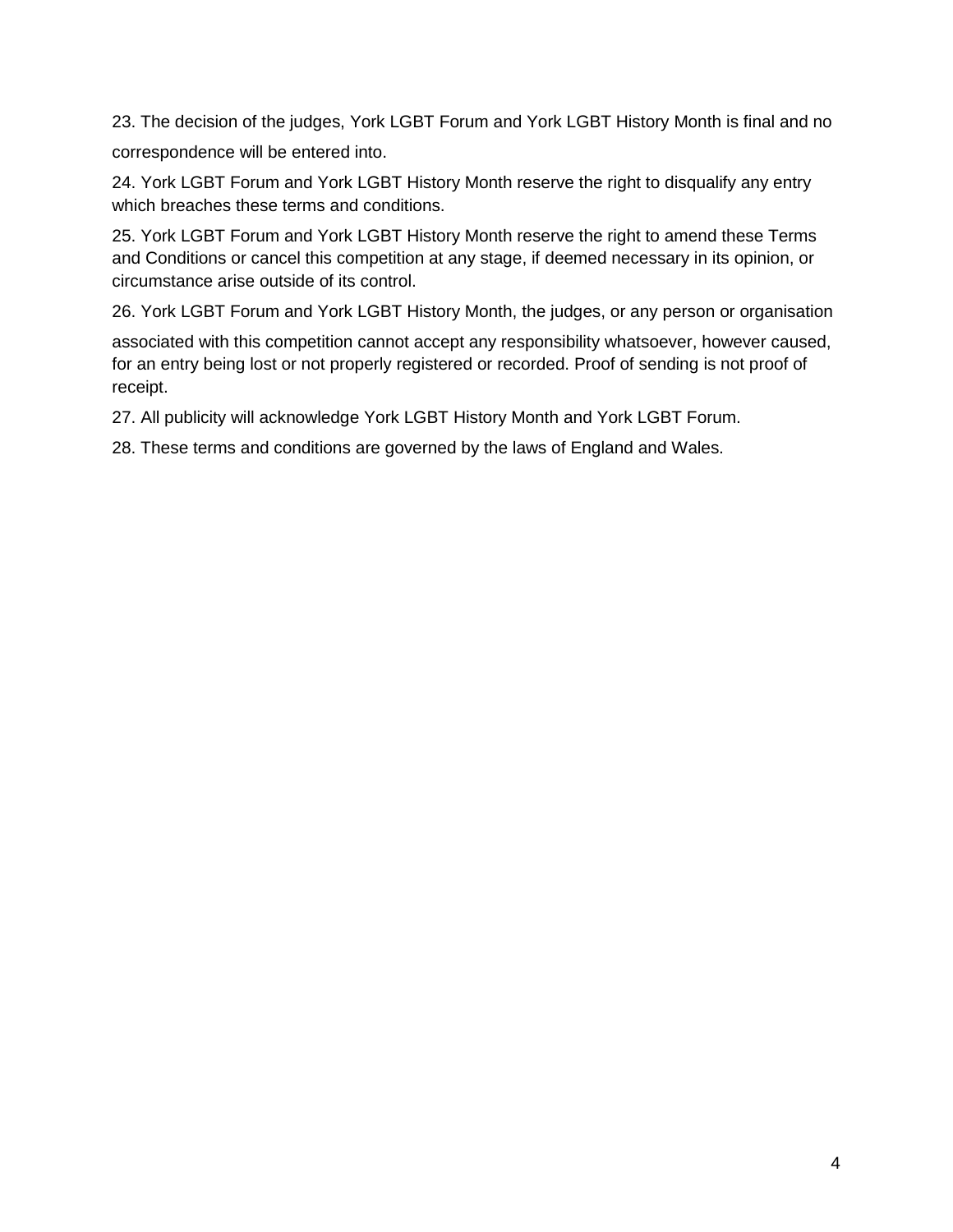23. The decision of the judges, York LGBT Forum and York LGBT History Month is final and no correspondence will be entered into.

24. York LGBT Forum and York LGBT History Month reserve the right to disqualify any entry which breaches these terms and conditions.

25. York LGBT Forum and York LGBT History Month reserve the right to amend these Terms and Conditions or cancel this competition at any stage, if deemed necessary in its opinion, or circumstance arise outside of its control.

26. York LGBT Forum and York LGBT History Month, the judges, or any person or organisation

associated with this competition cannot accept any responsibility whatsoever, however caused, for an entry being lost or not properly registered or recorded. Proof of sending is not proof of receipt.

27. All publicity will acknowledge York LGBT History Month and York LGBT Forum.

28. These terms and conditions are governed by the laws of England and Wales.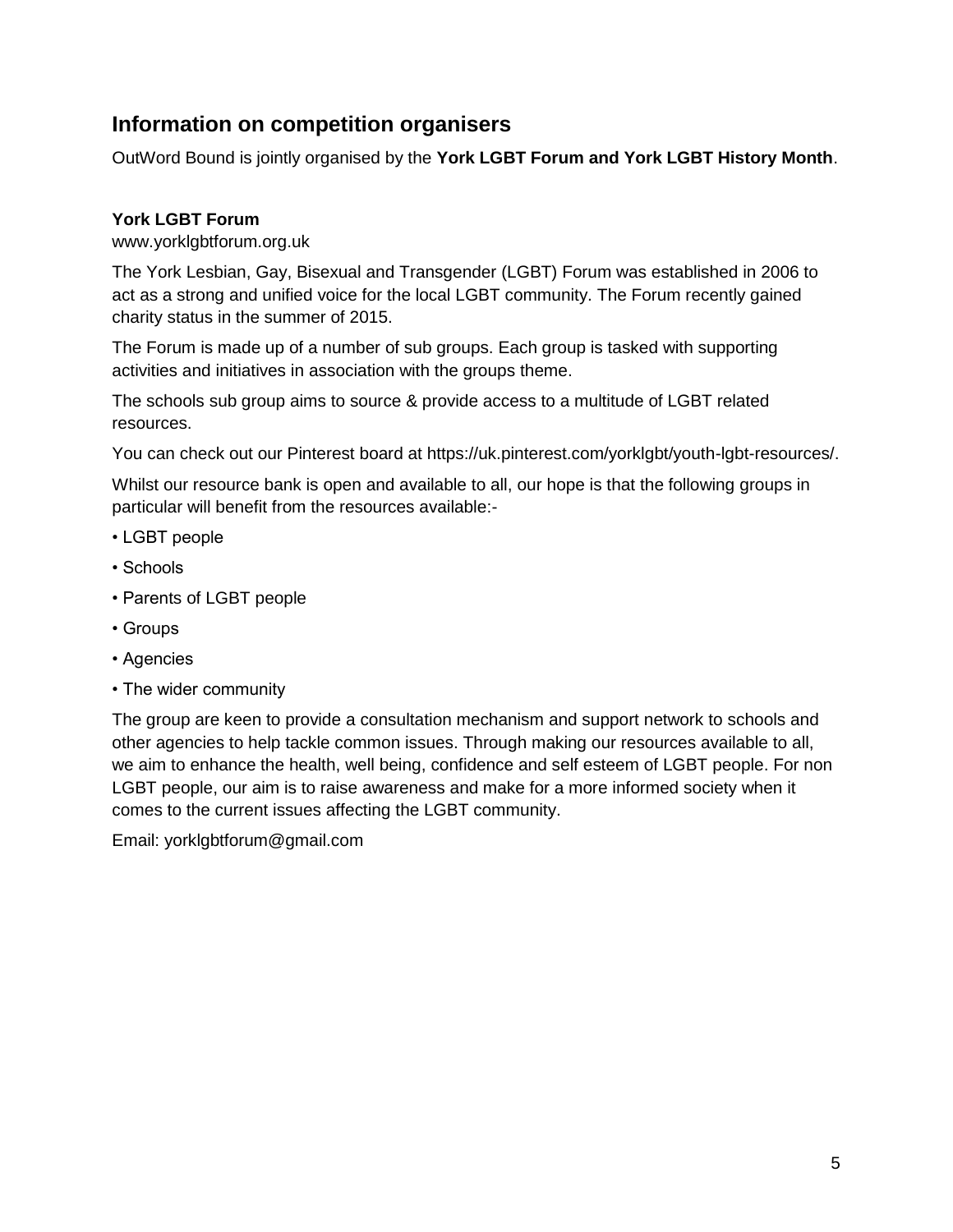## <span id="page-4-0"></span>**Information on competition organisers**

OutWord Bound is jointly organised by the **York LGBT Forum and York LGBT History Month**.

### **York LGBT Forum**

www.yorklgbtforum.org.uk

The York Lesbian, Gay, Bisexual and Transgender (LGBT) Forum was established in 2006 to act as a strong and unified voice for the local LGBT community. The Forum recently gained charity status in the summer of 2015.

The Forum is made up of a number of sub groups. Each group is tasked with supporting activities and initiatives in association with the groups theme.

The schools sub group aims to source & provide access to a multitude of LGBT related resources.

You can check out our Pinterest board at https://uk.pinterest.com/yorklgbt/youth-lgbt-resources/.

Whilst our resource bank is open and available to all, our hope is that the following groups in particular will benefit from the resources available:-

- LGBT people
- Schools
- Parents of LGBT people
- Groups
- Agencies
- The wider community

The group are keen to provide a consultation mechanism and support network to schools and other agencies to help tackle common issues. Through making our resources available to all, we aim to enhance the health, well being, confidence and self esteem of LGBT people. For non LGBT people, our aim is to raise awareness and make for a more informed society when it comes to the current issues affecting the LGBT community.

Email: yorklgbtforum@gmail.com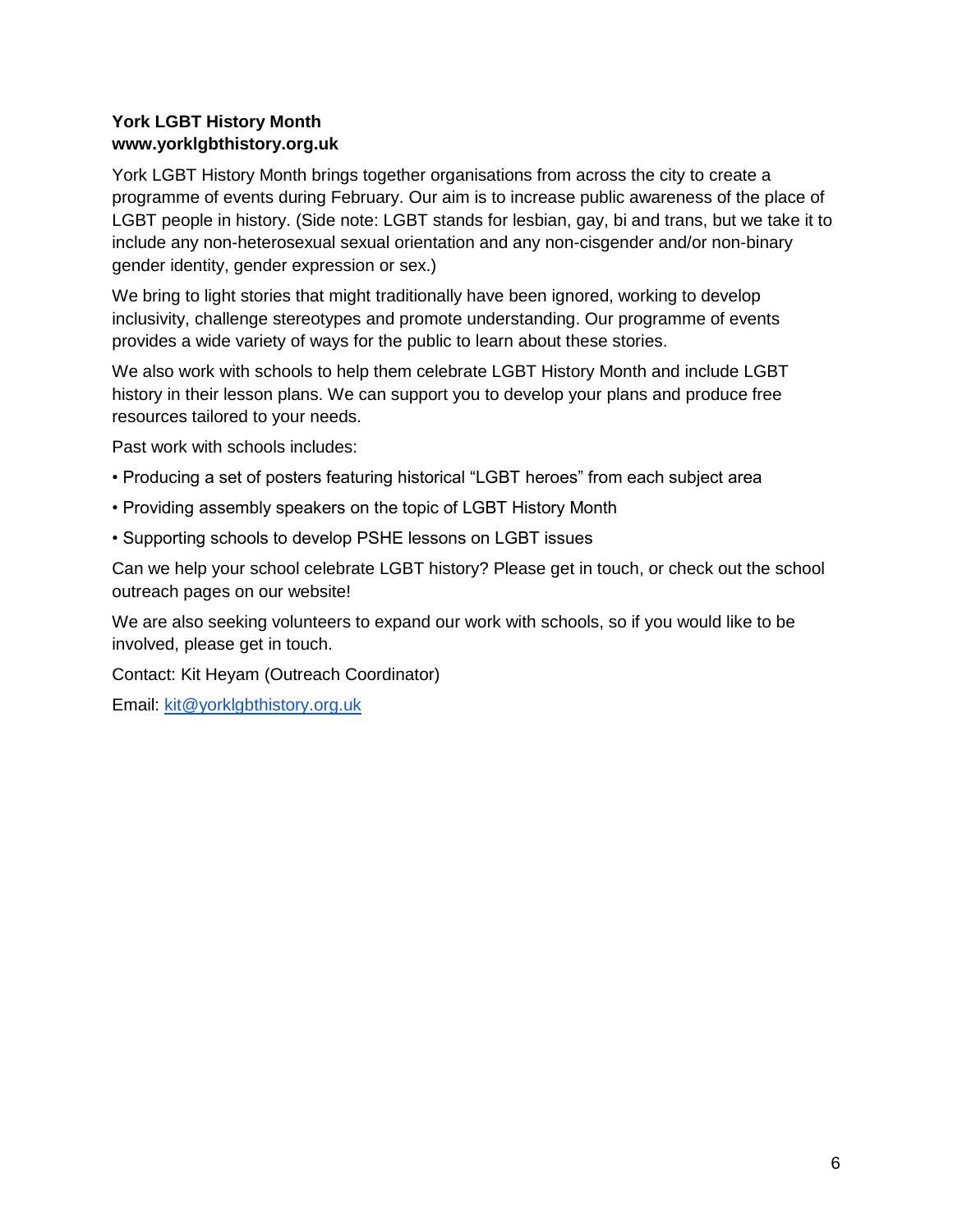## **York LGBT History Month www.yorklgbthistory.org.uk**

York LGBT History Month brings together organisations from across the city to create a programme of events during February. Our aim is to increase public awareness of the place of LGBT people in history. (Side note: LGBT stands for lesbian, gay, bi and trans, but we take it to include any non-heterosexual sexual orientation and any non-cisgender and/or non-binary gender identity, gender expression or sex.)

We bring to light stories that might traditionally have been ignored, working to develop inclusivity, challenge stereotypes and promote understanding. Our programme of events provides a wide variety of ways for the public to learn about these stories.

We also work with schools to help them celebrate LGBT History Month and include LGBT history in their lesson plans. We can support you to develop your plans and produce free resources tailored to your needs.

Past work with schools includes:

- Producing a set of posters featuring historical "LGBT heroes" from each subject area
- Providing assembly speakers on the topic of LGBT History Month
- Supporting schools to develop PSHE lessons on LGBT issues

Can we help your school celebrate LGBT history? Please get in touch, or check out the school outreach pages on our website!

We are also seeking volunteers to expand our work with schools, so if you would like to be involved, please get in touch.

Contact: Kit Heyam (Outreach Coordinator)

Email: [kit@yorklgbthistory.org.uk](mailto:kit@yorklgbthistory.org.uk)